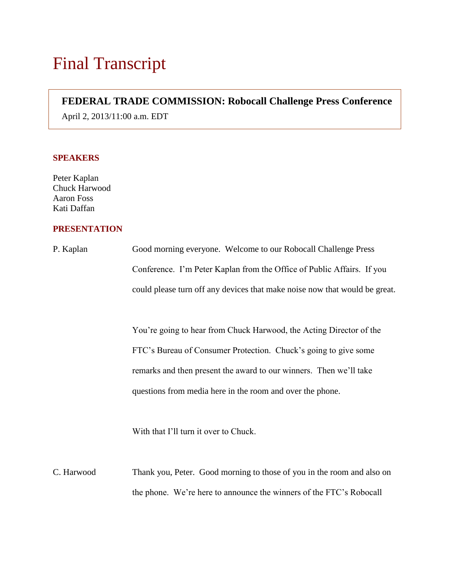## **FEDERAL TRADE COMMISSION: Robocall Challenge Press Conference**

April 2, 2013/11:00 a.m. EDT

## **SPEAKERS**

Peter Kaplan Chuck Harwood Aaron Foss Kati Daffan

## **PRESENTATION**

| P. Kaplan  | Good morning everyone. Welcome to our Robocall Challenge Press             |
|------------|----------------------------------------------------------------------------|
|            | Conference. I'm Peter Kaplan from the Office of Public Affairs. If you     |
|            | could please turn off any devices that make noise now that would be great. |
|            |                                                                            |
|            | You're going to hear from Chuck Harwood, the Acting Director of the        |
|            | FTC's Bureau of Consumer Protection. Chuck's going to give some            |
|            | remarks and then present the award to our winners. Then we'll take         |
|            | questions from media here in the room and over the phone.                  |
|            |                                                                            |
|            | With that I'll turn it over to Chuck.                                      |
|            |                                                                            |
| C. Harwood | Thank you, Peter. Good morning to those of you in the room and also on     |
|            | the phone. We're here to announce the winners of the FTC's Robocall        |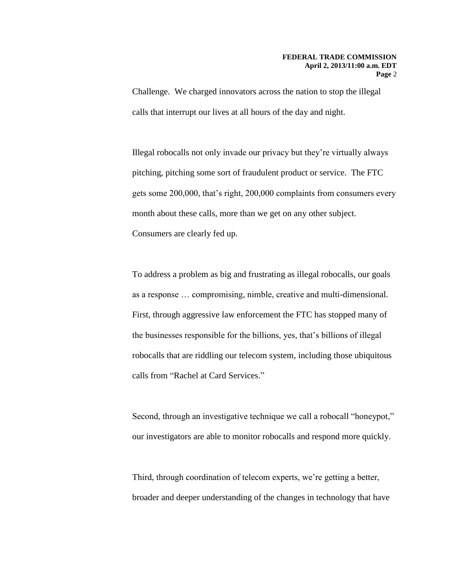Challenge. We charged innovators across the nation to stop the illegal calls that interrupt our lives at all hours of the day and night.

Illegal robocalls not only invade our privacy but they're virtually always pitching, pitching some sort of fraudulent product or service. The FTC gets some 200,000, that's right, 200,000 complaints from consumers every month about these calls, more than we get on any other subject. Consumers are clearly fed up.

To address a problem as big and frustrating as illegal robocalls, our goals as a response … compromising, nimble, creative and multi-dimensional. First, through aggressive law enforcement the FTC has stopped many of the businesses responsible for the billions, yes, that's billions of illegal robocalls that are riddling our telecom system, including those ubiquitous calls from "Rachel at Card Services."

Second, through an investigative technique we call a robocall "honeypot," our investigators are able to monitor robocalls and respond more quickly.

Third, through coordination of telecom experts, we're getting a better, broader and deeper understanding of the changes in technology that have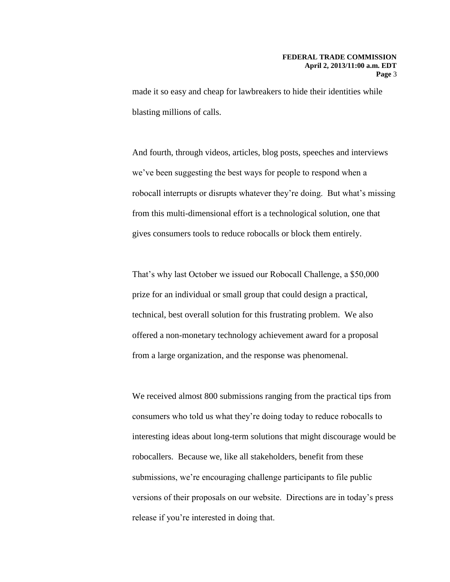made it so easy and cheap for lawbreakers to hide their identities while blasting millions of calls.

And fourth, through videos, articles, blog posts, speeches and interviews we've been suggesting the best ways for people to respond when a robocall interrupts or disrupts whatever they're doing. But what's missing from this multi-dimensional effort is a technological solution, one that gives consumers tools to reduce robocalls or block them entirely.

That's why last October we issued our Robocall Challenge, a \$50,000 prize for an individual or small group that could design a practical, technical, best overall solution for this frustrating problem. We also offered a non-monetary technology achievement award for a proposal from a large organization, and the response was phenomenal.

We received almost 800 submissions ranging from the practical tips from consumers who told us what they're doing today to reduce robocalls to interesting ideas about long-term solutions that might discourage would be robocallers. Because we, like all stakeholders, benefit from these submissions, we're encouraging challenge participants to file public versions of their proposals on our website. Directions are in today's press release if you're interested in doing that.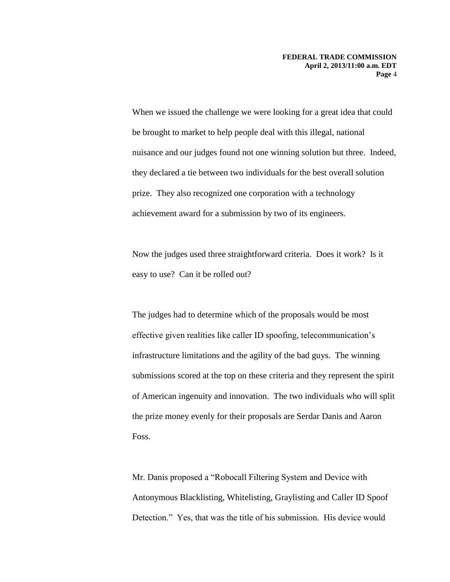When we issued the challenge we were looking for a great idea that could be brought to market to help people deal with this illegal, national nuisance and our judges found not one winning solution but three. Indeed, they declared a tie between two individuals for the best overall solution prize. They also recognized one corporation with a technology achievement award for a submission by two of its engineers.

Now the judges used three straightforward criteria. Does it work? Is it easy to use? Can it be rolled out?

The judges had to determine which of the proposals would be most effective given realities like caller ID spoofing, telecommunication's infrastructure limitations and the agility of the bad guys. The winning submissions scored at the top on these criteria and they represent the spirit of American ingenuity and innovation. The two individuals who will split the prize money evenly for their proposals are Serdar Danis and Aaron Foss.

Mr. Danis proposed a "Robocall Filtering System and Device with Antonymous Blacklisting, Whitelisting, Graylisting and Caller ID Spoof Detection." Yes, that was the title of his submission. His device would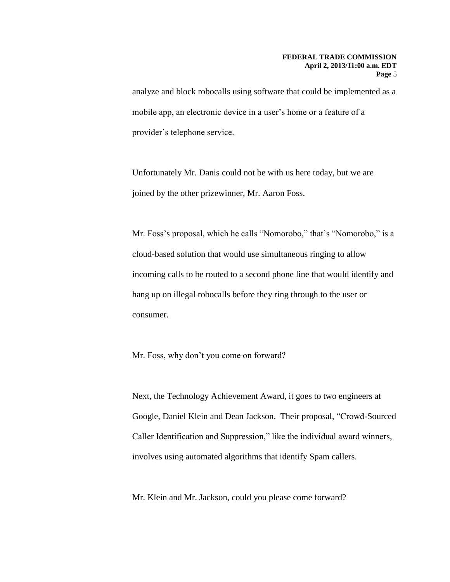analyze and block robocalls using software that could be implemented as a mobile app, an electronic device in a user's home or a feature of a provider's telephone service.

Unfortunately Mr. Danis could not be with us here today, but we are joined by the other prizewinner, Mr. Aaron Foss.

Mr. Foss's proposal, which he calls "Nomorobo," that's "Nomorobo," is a cloud-based solution that would use simultaneous ringing to allow incoming calls to be routed to a second phone line that would identify and hang up on illegal robocalls before they ring through to the user or consumer.

Mr. Foss, why don't you come on forward?

Next, the Technology Achievement Award, it goes to two engineers at Google, Daniel Klein and Dean Jackson. Their proposal, "Crowd-Sourced Caller Identification and Suppression," like the individual award winners, involves using automated algorithms that identify Spam callers.

Mr. Klein and Mr. Jackson, could you please come forward?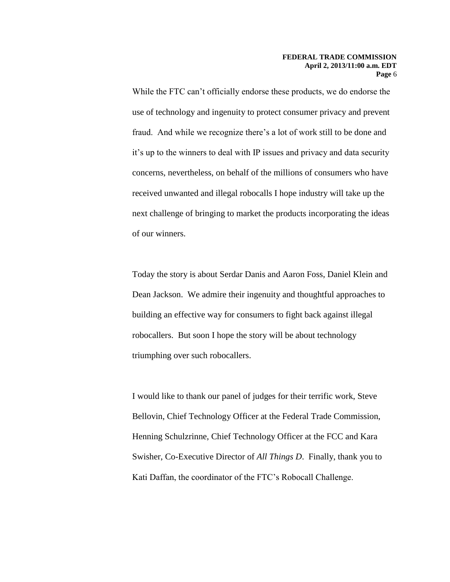While the FTC can't officially endorse these products, we do endorse the use of technology and ingenuity to protect consumer privacy and prevent fraud. And while we recognize there's a lot of work still to be done and it's up to the winners to deal with IP issues and privacy and data security concerns, nevertheless, on behalf of the millions of consumers who have received unwanted and illegal robocalls I hope industry will take up the next challenge of bringing to market the products incorporating the ideas of our winners.

Today the story is about Serdar Danis and Aaron Foss, Daniel Klein and Dean Jackson. We admire their ingenuity and thoughtful approaches to building an effective way for consumers to fight back against illegal robocallers. But soon I hope the story will be about technology triumphing over such robocallers.

I would like to thank our panel of judges for their terrific work, Steve Bellovin, Chief Technology Officer at the Federal Trade Commission, Henning Schulzrinne, Chief Technology Officer at the FCC and Kara Swisher, Co-Executive Director of *All Things D*. Finally, thank you to Kati Daffan, the coordinator of the FTC's Robocall Challenge.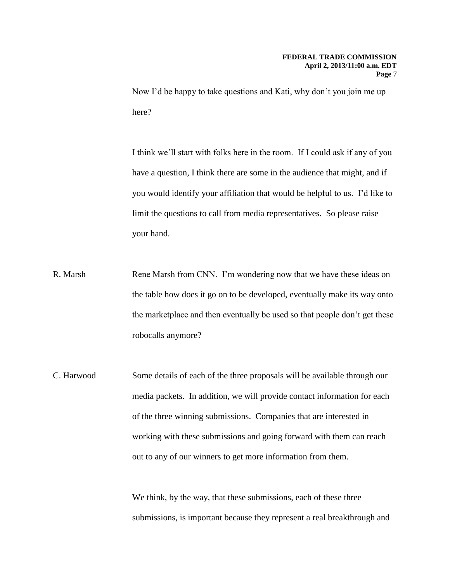Now I'd be happy to take questions and Kati, why don't you join me up here?

I think we'll start with folks here in the room. If I could ask if any of you have a question, I think there are some in the audience that might, and if you would identify your affiliation that would be helpful to us. I'd like to limit the questions to call from media representatives. So please raise your hand.

- R. Marsh Rene Marsh from CNN. I'm wondering now that we have these ideas on the table how does it go on to be developed, eventually make its way onto the marketplace and then eventually be used so that people don't get these robocalls anymore?
- C. Harwood Some details of each of the three proposals will be available through our media packets. In addition, we will provide contact information for each of the three winning submissions. Companies that are interested in working with these submissions and going forward with them can reach out to any of our winners to get more information from them.

We think, by the way, that these submissions, each of these three submissions, is important because they represent a real breakthrough and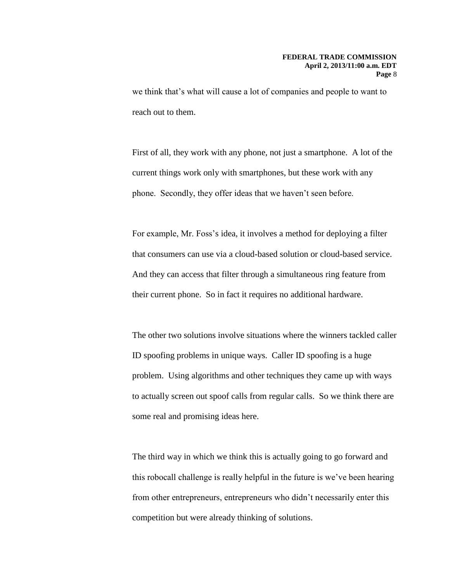we think that's what will cause a lot of companies and people to want to reach out to them.

First of all, they work with any phone, not just a smartphone. A lot of the current things work only with smartphones, but these work with any phone. Secondly, they offer ideas that we haven't seen before.

For example, Mr. Foss's idea, it involves a method for deploying a filter that consumers can use via a cloud-based solution or cloud-based service. And they can access that filter through a simultaneous ring feature from their current phone. So in fact it requires no additional hardware.

The other two solutions involve situations where the winners tackled caller ID spoofing problems in unique ways. Caller ID spoofing is a huge problem. Using algorithms and other techniques they came up with ways to actually screen out spoof calls from regular calls. So we think there are some real and promising ideas here.

The third way in which we think this is actually going to go forward and this robocall challenge is really helpful in the future is we've been hearing from other entrepreneurs, entrepreneurs who didn't necessarily enter this competition but were already thinking of solutions.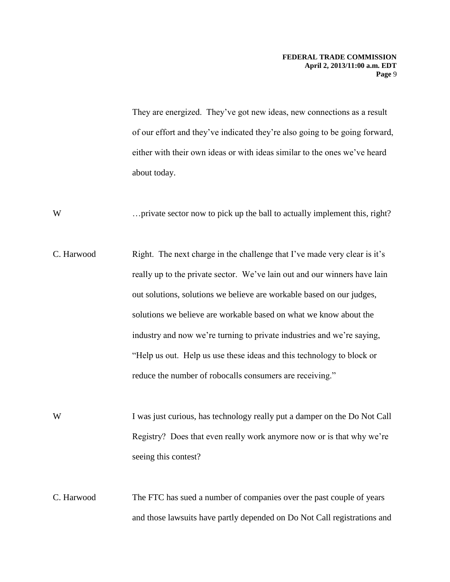They are energized. They've got new ideas, new connections as a result of our effort and they've indicated they're also going to be going forward, either with their own ideas or with ideas similar to the ones we've heard about today.

W ... private sector now to pick up the ball to actually implement this, right?

- C. Harwood Right. The next charge in the challenge that I've made very clear is it's really up to the private sector. We've lain out and our winners have lain out solutions, solutions we believe are workable based on our judges, solutions we believe are workable based on what we know about the industry and now we're turning to private industries and we're saying, "Help us out. Help us use these ideas and this technology to block or reduce the number of robocalls consumers are receiving."
- W I was just curious, has technology really put a damper on the Do Not Call Registry? Does that even really work anymore now or is that why we're seeing this contest?

C. Harwood The FTC has sued a number of companies over the past couple of years and those lawsuits have partly depended on Do Not Call registrations and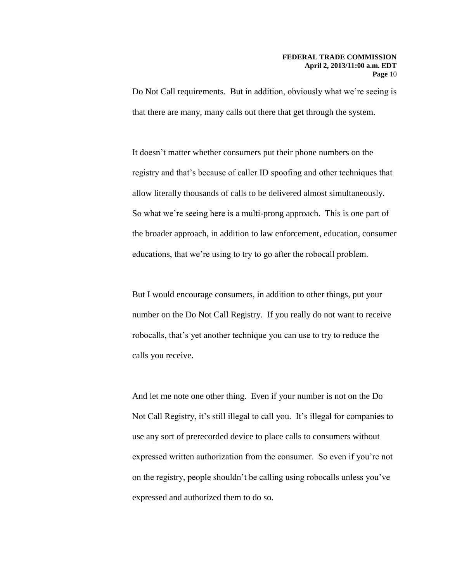Do Not Call requirements. But in addition, obviously what we're seeing is that there are many, many calls out there that get through the system.

It doesn't matter whether consumers put their phone numbers on the registry and that's because of caller ID spoofing and other techniques that allow literally thousands of calls to be delivered almost simultaneously. So what we're seeing here is a multi-prong approach. This is one part of the broader approach, in addition to law enforcement, education, consumer educations, that we're using to try to go after the robocall problem.

But I would encourage consumers, in addition to other things, put your number on the Do Not Call Registry. If you really do not want to receive robocalls, that's yet another technique you can use to try to reduce the calls you receive.

And let me note one other thing. Even if your number is not on the Do Not Call Registry, it's still illegal to call you. It's illegal for companies to use any sort of prerecorded device to place calls to consumers without expressed written authorization from the consumer. So even if you're not on the registry, people shouldn't be calling using robocalls unless you've expressed and authorized them to do so.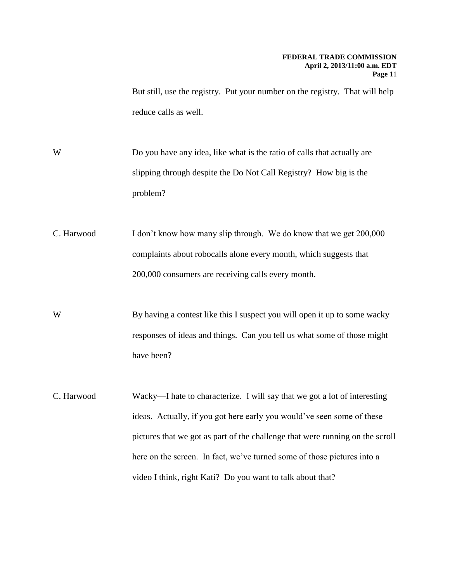But still, use the registry. Put your number on the registry. That will help reduce calls as well.

- W Do you have any idea, like what is the ratio of calls that actually are slipping through despite the Do Not Call Registry? How big is the problem?
- C. Harwood I don't know how many slip through. We do know that we get 200,000 complaints about robocalls alone every month, which suggests that 200,000 consumers are receiving calls every month.
- W By having a contest like this I suspect you will open it up to some wacky responses of ideas and things. Can you tell us what some of those might have been?
- C. Harwood Wacky—I hate to characterize. I will say that we got a lot of interesting ideas. Actually, if you got here early you would've seen some of these pictures that we got as part of the challenge that were running on the scroll here on the screen. In fact, we've turned some of those pictures into a video I think, right Kati? Do you want to talk about that?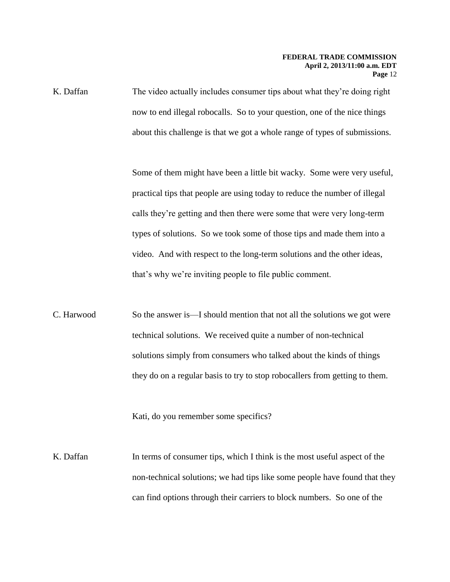K. Daffan The video actually includes consumer tips about what they're doing right now to end illegal robocalls. So to your question, one of the nice things about this challenge is that we got a whole range of types of submissions.

> Some of them might have been a little bit wacky. Some were very useful, practical tips that people are using today to reduce the number of illegal calls they're getting and then there were some that were very long-term types of solutions. So we took some of those tips and made them into a video. And with respect to the long-term solutions and the other ideas, that's why we're inviting people to file public comment.

C. Harwood So the answer is—I should mention that not all the solutions we got were technical solutions. We received quite a number of non-technical solutions simply from consumers who talked about the kinds of things they do on a regular basis to try to stop robocallers from getting to them.

Kati, do you remember some specifics?

K. Daffan In terms of consumer tips, which I think is the most useful aspect of the non-technical solutions; we had tips like some people have found that they can find options through their carriers to block numbers. So one of the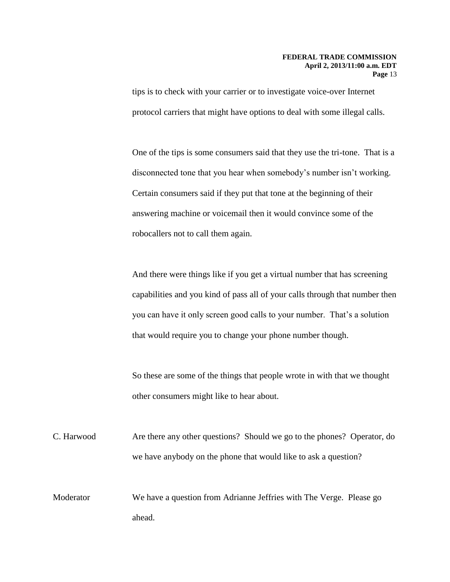tips is to check with your carrier or to investigate voice-over Internet protocol carriers that might have options to deal with some illegal calls.

One of the tips is some consumers said that they use the tri-tone. That is a disconnected tone that you hear when somebody's number isn't working. Certain consumers said if they put that tone at the beginning of their answering machine or voicemail then it would convince some of the robocallers not to call them again.

And there were things like if you get a virtual number that has screening capabilities and you kind of pass all of your calls through that number then you can have it only screen good calls to your number. That's a solution that would require you to change your phone number though.

So these are some of the things that people wrote in with that we thought other consumers might like to hear about.

C. Harwood Are there any other questions? Should we go to the phones? Operator, do we have anybody on the phone that would like to ask a question?

Moderator We have a question from Adrianne Jeffries with The Verge. Please go ahead.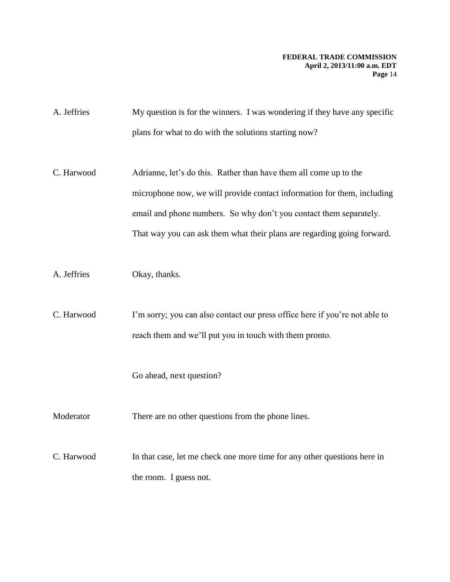| A. Jeffries | My question is for the winners. I was wondering if they have any specific |
|-------------|---------------------------------------------------------------------------|
|             | plans for what to do with the solutions starting now?                     |

- C. Harwood Adrianne, let's do this. Rather than have them all come up to the microphone now, we will provide contact information for them, including email and phone numbers. So why don't you contact them separately. That way you can ask them what their plans are regarding going forward.
- A. Jeffries Okay, thanks.
- C. Harwood I'm sorry; you can also contact our press office here if you're not able to reach them and we'll put you in touch with them pronto.

Go ahead, next question?

Moderator There are no other questions from the phone lines.

C. Harwood In that case, let me check one more time for any other questions here in the room. I guess not.